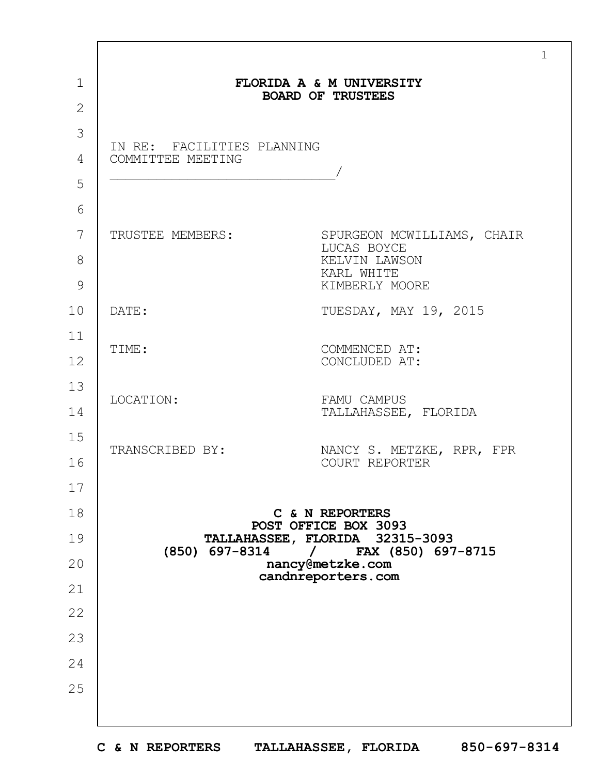| $\mathbf{1}$<br>$\overline{2}$ |                                                 | FLORIDA A & M UNIVERSITY<br><b>BOARD OF TRUSTEES</b>              |
|--------------------------------|-------------------------------------------------|-------------------------------------------------------------------|
| 3<br>4<br>5                    | IN RE: FACILITIES PLANNING<br>COMMITTEE MEETING |                                                                   |
| 6                              |                                                 |                                                                   |
| 7<br>8                         | TRUSTEE MEMBERS:                                | SPURGEON MCWILLIAMS, CHAIR<br>LUCAS BOYCE<br>KELVIN LAWSON        |
| 9                              |                                                 | KARL WHITE<br>KIMBERLY MOORE                                      |
| 10                             | DATE:                                           | TUESDAY, MAY 19, 2015                                             |
| 11                             |                                                 |                                                                   |
| 12                             | TIME:                                           | COMMENCED AT:<br>CONCLUDED AT:                                    |
| 13                             | LOCATION:                                       | FAMU CAMPUS                                                       |
| 14                             |                                                 | TALLAHASSEE, FLORIDA                                              |
| 15<br>16                       | TRANSCRIBED BY:                                 | NANCY S. METZKE, RPR, FPR<br>COURT REPORTER                       |
| 17                             |                                                 |                                                                   |
| 18                             |                                                 | C & N REPORTERS<br>POST OFFICE BOX 3093                           |
| 19                             | (850) 697-8314                                  | TALLAHASSEE, FLORIDA 32315-3093<br>FAX (850) 697-8715<br>$\prime$ |
| 20                             |                                                 | nancy@metzke.com<br>candnreporters.com                            |
| 21                             |                                                 |                                                                   |
| 22                             |                                                 |                                                                   |
| 23                             |                                                 |                                                                   |
| 24                             |                                                 |                                                                   |
| 25                             |                                                 |                                                                   |
|                                |                                                 |                                                                   |

 $\Gamma$ 

1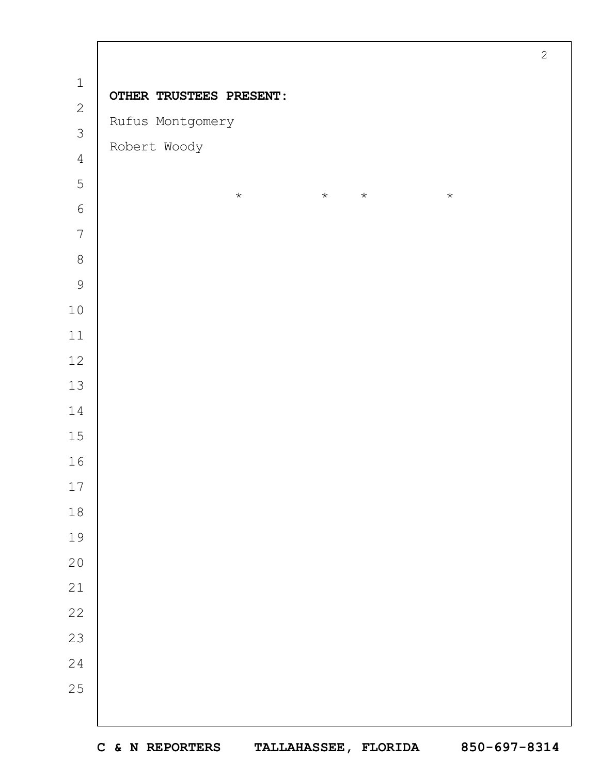|                |                                          | $\mathbf{2}$ |
|----------------|------------------------------------------|--------------|
| $\mathbf 1$    | OTHER TRUSTEES PRESENT:                  |              |
| $\mathbf{2}$   | Rufus Montgomery                         |              |
| $\mathcal{S}$  | Robert Woody                             |              |
| $\overline{4}$ |                                          |              |
| 5              | $\star$<br>$\star$<br>$\star$<br>$\star$ |              |
| $\epsilon$     |                                          |              |
| $\overline{7}$ |                                          |              |
| $\,8\,$        |                                          |              |
| $\mathcal{G}$  |                                          |              |
| $10$           |                                          |              |
| $11\,$         |                                          |              |
| 12             |                                          |              |
| $13$           |                                          |              |
| $1\,4$         |                                          |              |
| $15$           |                                          |              |
| 16             |                                          |              |
| $17\,$         |                                          |              |
| $1\,8$         |                                          |              |
| 19             |                                          |              |
| $2\,0$         |                                          |              |
| $21\,$         |                                          |              |
| 22             |                                          |              |
| 23             |                                          |              |
| 24             |                                          |              |
| $2\sqrt{5}$    |                                          |              |
|                |                                          |              |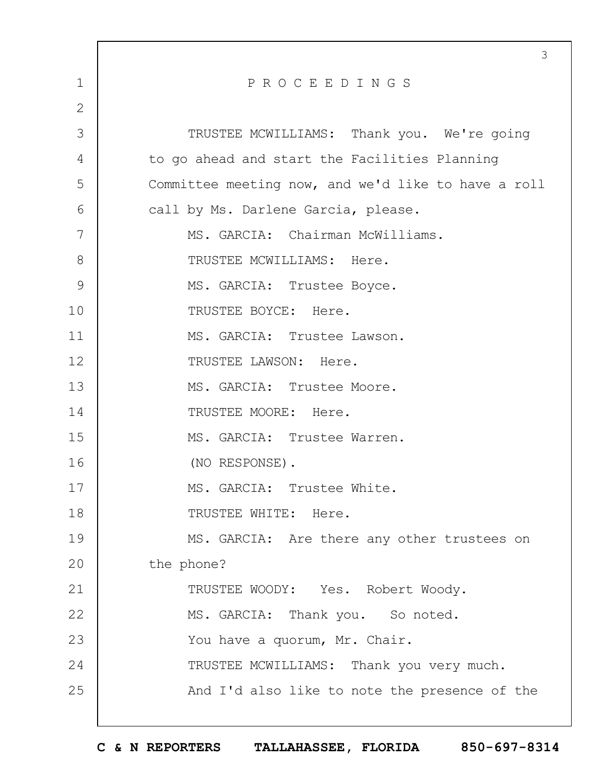|                | 3                                                   |
|----------------|-----------------------------------------------------|
| $\mathbf 1$    | PROCEEDINGS                                         |
| $\overline{2}$ |                                                     |
| 3              | TRUSTEE MCWILLIAMS: Thank you. We're going          |
| 4              | to go ahead and start the Facilities Planning       |
| 5              | Committee meeting now, and we'd like to have a roll |
| 6              | call by Ms. Darlene Garcia, please.                 |
| 7              | MS. GARCIA: Chairman McWilliams.                    |
| 8              | TRUSTEE MCWILLIAMS: Here.                           |
| 9              | MS. GARCIA: Trustee Boyce.                          |
| 10             | TRUSTEE BOYCE: Here.                                |
| 11             | MS. GARCIA: Trustee Lawson.                         |
| 12             | TRUSTEE LAWSON: Here.                               |
| 13             | MS. GARCIA: Trustee Moore.                          |
| 14             | TRUSTEE MOORE: Here.                                |
| 15             | MS. GARCIA: Trustee Warren.                         |
| 16             | (NO RESPONSE).                                      |
| 17             | MS. GARCIA: Trustee White.                          |
| 18             | TRUSTEE WHITE: Here.                                |
| 19             | MS. GARCIA: Are there any other trustees on         |
| 20             | the phone?                                          |
| 21             | TRUSTEE WOODY: Yes. Robert Woody.                   |
| 22             | MS. GARCIA: Thank you. So noted.                    |
| 23             | You have a quorum, Mr. Chair.                       |
| 24             | TRUSTEE MCWILLIAMS: Thank you very much.            |
| 25             | And I'd also like to note the presence of the       |
|                |                                                     |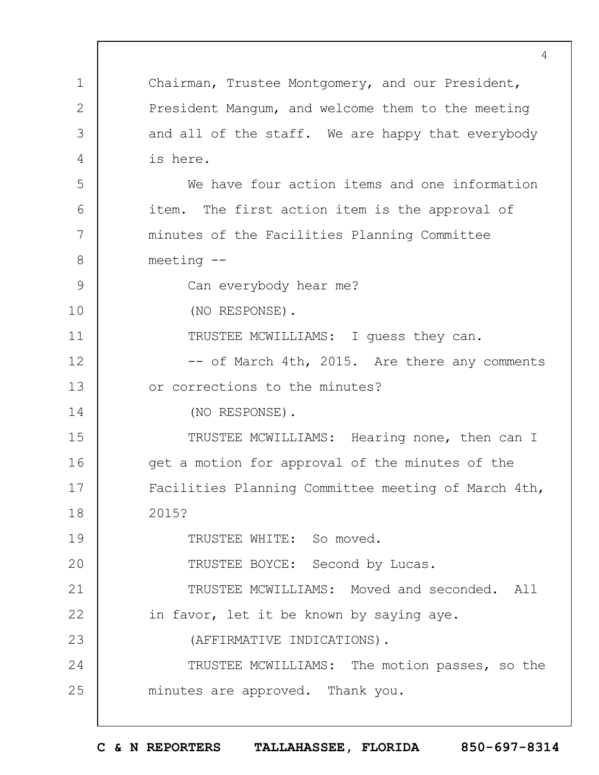1 2 3 4 5 6 7 8 9 10 11 12 13 14 15 16 17 18 19  $20$ 21 22 23 24 25 4 Chairman, Trustee Montgomery, and our President, President Mangum, and welcome them to the meeting and all of the staff. We are happy that everybody is here. We have four action items and one information item. The first action item is the approval of minutes of the Facilities Planning Committee meeting -- Can everybody hear me? (NO RESPONSE). TRUSTEE MCWILLIAMS: I guess they can. -- of March 4th, 2015. Are there any comments or corrections to the minutes? (NO RESPONSE). TRUSTEE MCWILLIAMS: Hearing none, then can I get a motion for approval of the minutes of the Facilities Planning Committee meeting of March 4th, 2015? TRUSTEE WHITE: So moved. TRUSTEE BOYCE: Second by Lucas. TRUSTEE MCWILLIAMS: Moved and seconded. All in favor, let it be known by saying aye. (AFFIRMATIVE INDICATIONS). TRUSTEE MCWILLIAMS: The motion passes, so the minutes are approved. Thank you.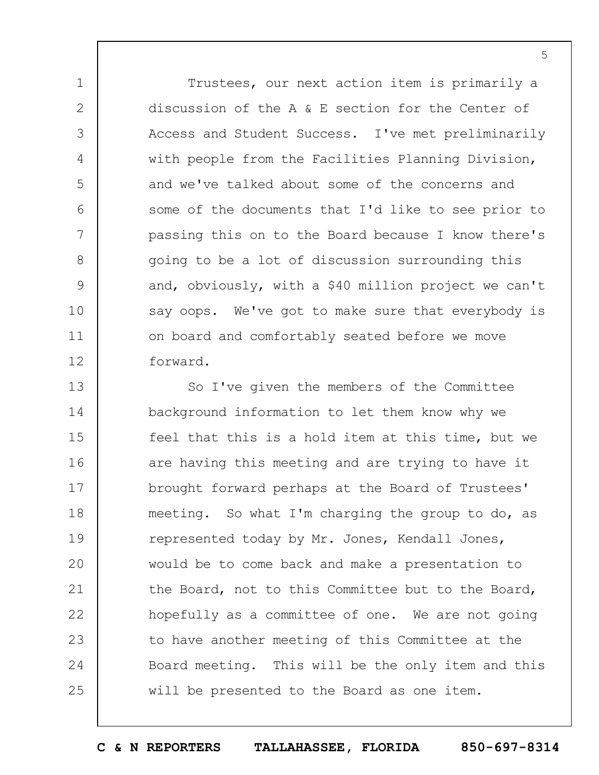Trustees, our next action item is primarily a discussion of the A & E section for the Center of Access and Student Success. I've met preliminarily with people from the Facilities Planning Division, and we've talked about some of the concerns and some of the documents that I'd like to see prior to passing this on to the Board because I know there's going to be a lot of discussion surrounding this and, obviously, with a \$40 million project we can't say oops. We've got to make sure that everybody is on board and comfortably seated before we move forward.

1

2

3

4

5

6

7

8

9

10

11

12

13 14 15 16 17 18 19  $20$ 21 22 23 24 25 So I've given the members of the Committee background information to let them know why we feel that this is a hold item at this time, but we are having this meeting and are trying to have it brought forward perhaps at the Board of Trustees' meeting. So what I'm charging the group to do, as represented today by Mr. Jones, Kendall Jones, would be to come back and make a presentation to the Board, not to this Committee but to the Board, hopefully as a committee of one. We are not going to have another meeting of this Committee at the Board meeting. This will be the only item and this will be presented to the Board as one item.

**C & N REPORTERS TALLAHASSEE, FLORIDA 850-697-8314**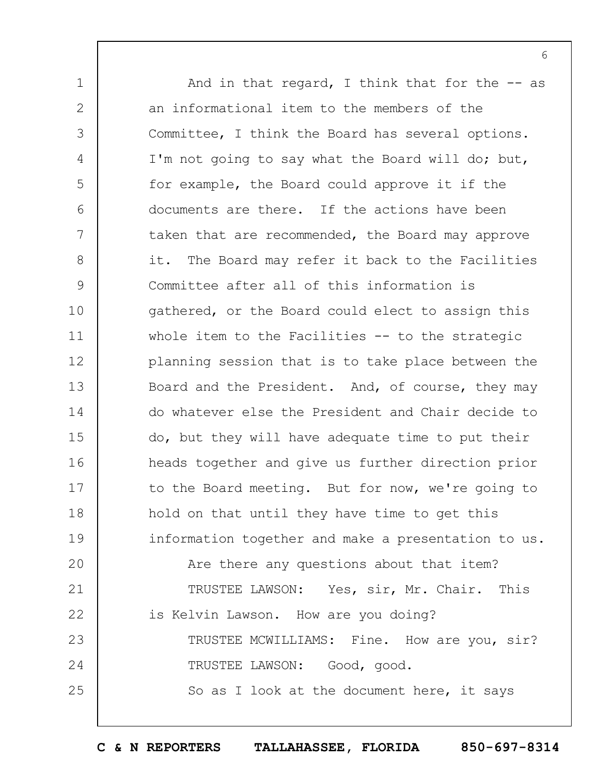1 2 3 4 5  $6\overline{6}$ 7 8 9 10 11 12 13 14 15 16 17 18 19  $20$ 21 22 23 24 25 And in that regard, I think that for the  $-$  as an informational item to the members of the Committee, I think the Board has several options. I'm not going to say what the Board will do; but, for example, the Board could approve it if the documents are there. If the actions have been taken that are recommended, the Board may approve it. The Board may refer it back to the Facilities Committee after all of this information is gathered, or the Board could elect to assign this whole item to the Facilities -- to the strategic planning session that is to take place between the Board and the President. And, of course, they may do whatever else the President and Chair decide to do, but they will have adequate time to put their heads together and give us further direction prior to the Board meeting. But for now, we're going to hold on that until they have time to get this information together and make a presentation to us. Are there any questions about that item? TRUSTEE LAWSON: Yes, sir, Mr. Chair. This is Kelvin Lawson. How are you doing? TRUSTEE MCWILLIAMS: Fine. How are you, sir? TRUSTEE LAWSON: Good, good. So as I look at the document here, it says

**C & N REPORTERS TALLAHASSEE, FLORIDA 850-697-8314**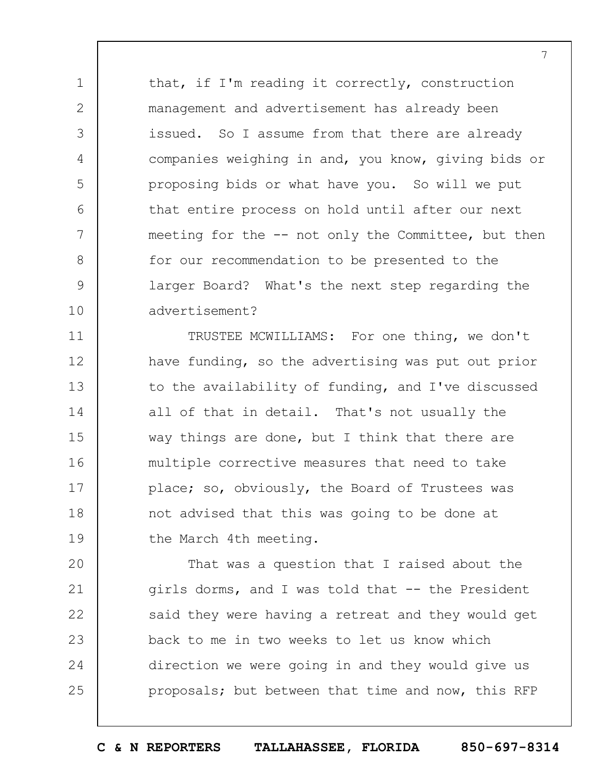that, if I'm reading it correctly, construction management and advertisement has already been issued. So I assume from that there are already companies weighing in and, you know, giving bids or proposing bids or what have you. So will we put that entire process on hold until after our next meeting for the -- not only the Committee, but then for our recommendation to be presented to the larger Board? What's the next step regarding the advertisement?

1

2

3

4

5

6

7

8

9

10

11 12 13 14 15 16 17 18 19 TRUSTEE MCWILLIAMS: For one thing, we don't have funding, so the advertising was put out prior to the availability of funding, and I've discussed all of that in detail. That's not usually the way things are done, but I think that there are multiple corrective measures that need to take place; so, obviously, the Board of Trustees was not advised that this was going to be done at the March 4th meeting.

 $20$ 21 22 23 24 25 That was a question that I raised about the girls dorms, and I was told that -- the President said they were having a retreat and they would get back to me in two weeks to let us know which direction we were going in and they would give us proposals; but between that time and now, this RFP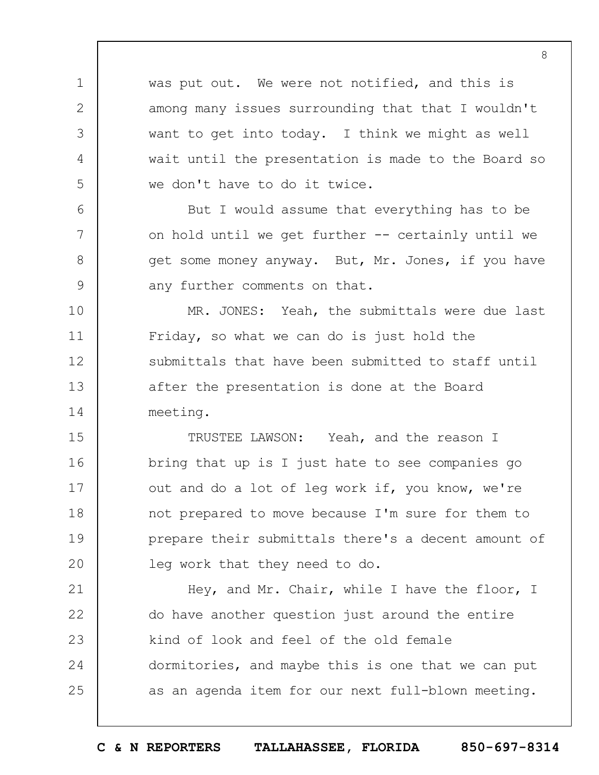was put out. We were not notified, and this is among many issues surrounding that that I wouldn't want to get into today. I think we might as well wait until the presentation is made to the Board so we don't have to do it twice.

1

2

3

4

5

6

7

8

9

But I would assume that everything has to be on hold until we get further -- certainly until we get some money anyway. But, Mr. Jones, if you have any further comments on that.

10 11 12 13 14 MR. JONES: Yeah, the submittals were due last Friday, so what we can do is just hold the submittals that have been submitted to staff until after the presentation is done at the Board meeting.

15 16 17 18 19  $20$ TRUSTEE LAWSON: Yeah, and the reason I bring that up is I just hate to see companies go out and do a lot of leg work if, you know, we're not prepared to move because I'm sure for them to prepare their submittals there's a decent amount of leg work that they need to do.

21 22 23 24 25 Hey, and Mr. Chair, while I have the floor, I do have another question just around the entire kind of look and feel of the old female dormitories, and maybe this is one that we can put as an agenda item for our next full-blown meeting.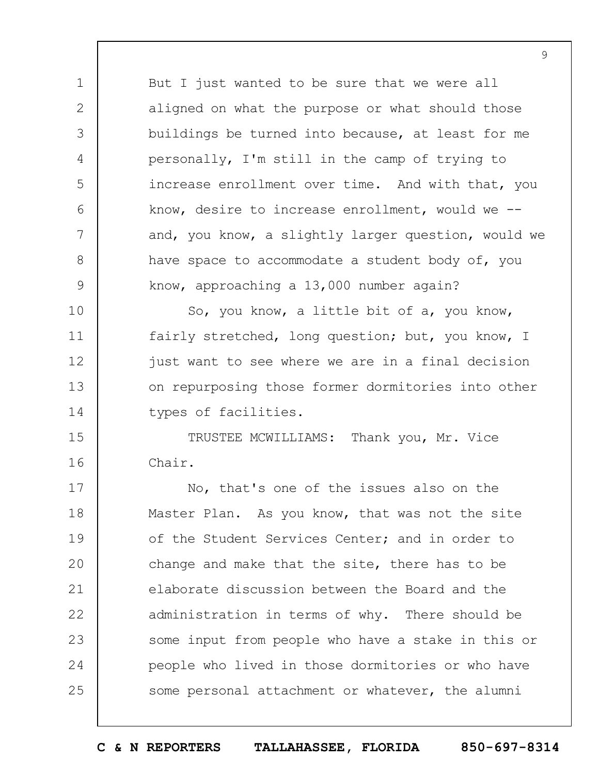But I just wanted to be sure that we were all aligned on what the purpose or what should those buildings be turned into because, at least for me personally, I'm still in the camp of trying to increase enrollment over time. And with that, you know, desire to increase enrollment, would we - and, you know, a slightly larger question, would we have space to accommodate a student body of, you know, approaching a 13,000 number again?

1

2

3

4

5

6

7

8

9

10 11 12 13 14 So, you know, a little bit of a, you know, fairly stretched, long question; but, you know, I just want to see where we are in a final decision on repurposing those former dormitories into other types of facilities.

15 16 TRUSTEE MCWILLIAMS: Thank you, Mr. Vice Chair.

17 18 19  $20$ 21 22 23 24 25 No, that's one of the issues also on the Master Plan. As you know, that was not the site of the Student Services Center; and in order to change and make that the site, there has to be elaborate discussion between the Board and the administration in terms of why. There should be some input from people who have a stake in this or people who lived in those dormitories or who have some personal attachment or whatever, the alumni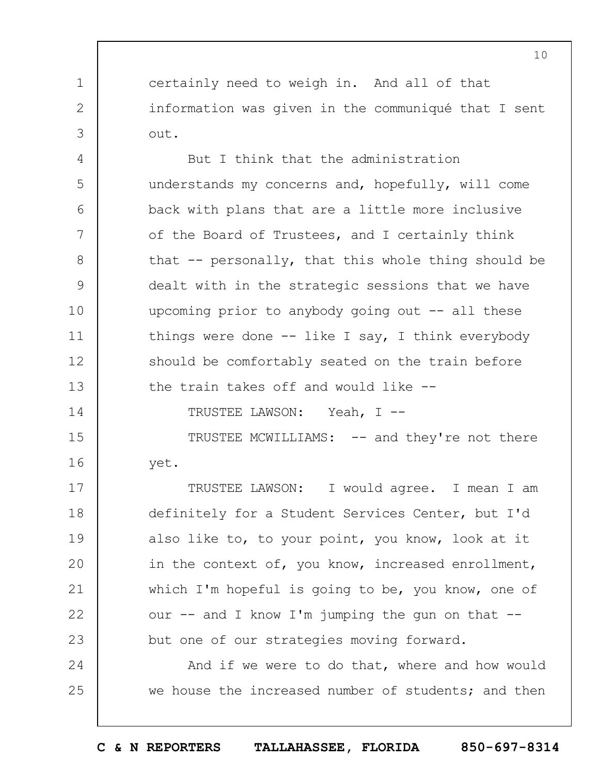certainly need to weigh in. And all of that information was given in the communiqué that I sent out.

1

2

3

4

5

6

7

8

9

10

11

12

13

14

But I think that the administration understands my concerns and, hopefully, will come back with plans that are a little more inclusive of the Board of Trustees, and I certainly think that -- personally, that this whole thing should be dealt with in the strategic sessions that we have upcoming prior to anybody going out  $-$  all these things were done  $--$  like I say, I think everybody should be comfortably seated on the train before the train takes off and would like --

TRUSTEE LAWSON: Yeah, I --

15 16 TRUSTEE MCWILLIAMS: -- and they're not there yet.

17 18 19  $20$ 21 22 23 TRUSTEE LAWSON: I would agree. I mean I am definitely for a Student Services Center, but I'd also like to, to your point, you know, look at it in the context of, you know, increased enrollment, which I'm hopeful is going to be, you know, one of our  $--$  and I know I'm jumping the gun on that  $-$ but one of our strategies moving forward.

24 25 And if we were to do that, where and how would we house the increased number of students; and then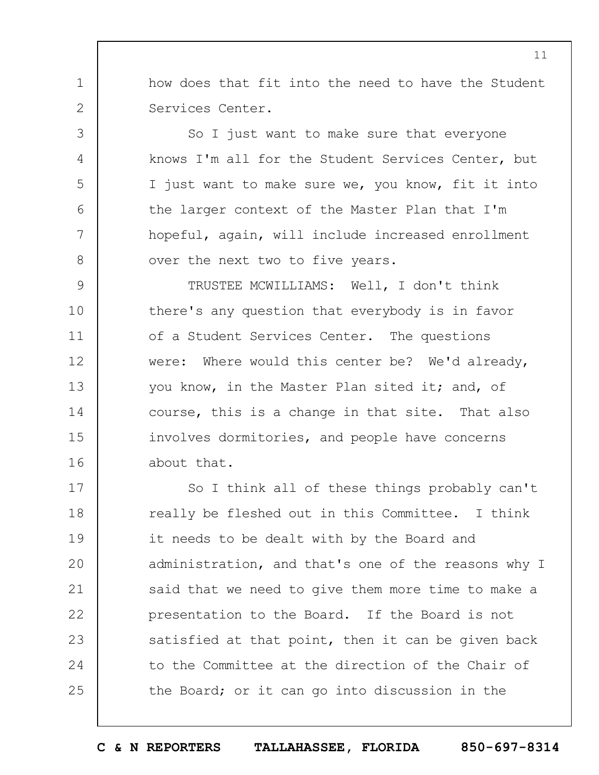how does that fit into the need to have the Student Services Center.

1

2

3

4

5

6

7

8

So I just want to make sure that everyone knows I'm all for the Student Services Center, but I just want to make sure we, you know, fit it into the larger context of the Master Plan that I'm hopeful, again, will include increased enrollment over the next two to five years.

9 10 11 12 13 14 15 16 TRUSTEE MCWILLIAMS: Well, I don't think there's any question that everybody is in favor of a Student Services Center. The questions were: Where would this center be? We'd already, you know, in the Master Plan sited it; and, of course, this is a change in that site. That also involves dormitories, and people have concerns about that.

17 18 19  $20$ 21 22 23 24 25 So I think all of these things probably can't really be fleshed out in this Committee. I think it needs to be dealt with by the Board and administration, and that's one of the reasons why I said that we need to give them more time to make a presentation to the Board. If the Board is not satisfied at that point, then it can be given back to the Committee at the direction of the Chair of the Board; or it can go into discussion in the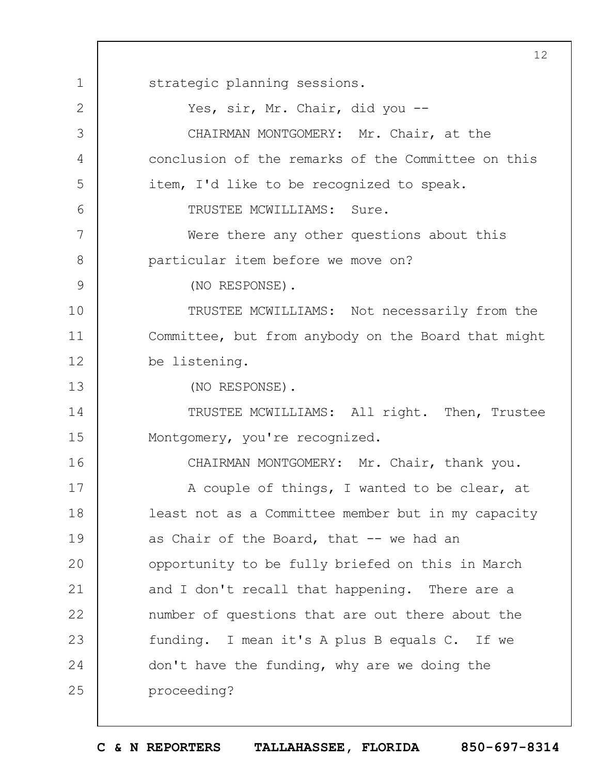1 2 3 4 5 6 7 8 9 10 11 12 13 14 15 16 17 18 19  $20$ 21 22 23 24 25 12 strategic planning sessions. Yes, sir, Mr. Chair, did you -- CHAIRMAN MONTGOMERY: Mr. Chair, at the conclusion of the remarks of the Committee on this item, I'd like to be recognized to speak. TRUSTEE MCWILLIAMS: Sure. Were there any other questions about this particular item before we move on? (NO RESPONSE). TRUSTEE MCWILLIAMS: Not necessarily from the Committee, but from anybody on the Board that might be listening. (NO RESPONSE). TRUSTEE MCWILLIAMS: All right. Then, Trustee Montgomery, you're recognized. CHAIRMAN MONTGOMERY: Mr. Chair, thank you. A couple of things, I wanted to be clear, at least not as a Committee member but in my capacity as Chair of the Board, that -- we had an opportunity to be fully briefed on this in March and I don't recall that happening. There are a number of questions that are out there about the funding. I mean it's A plus B equals C. If we don't have the funding, why are we doing the proceeding?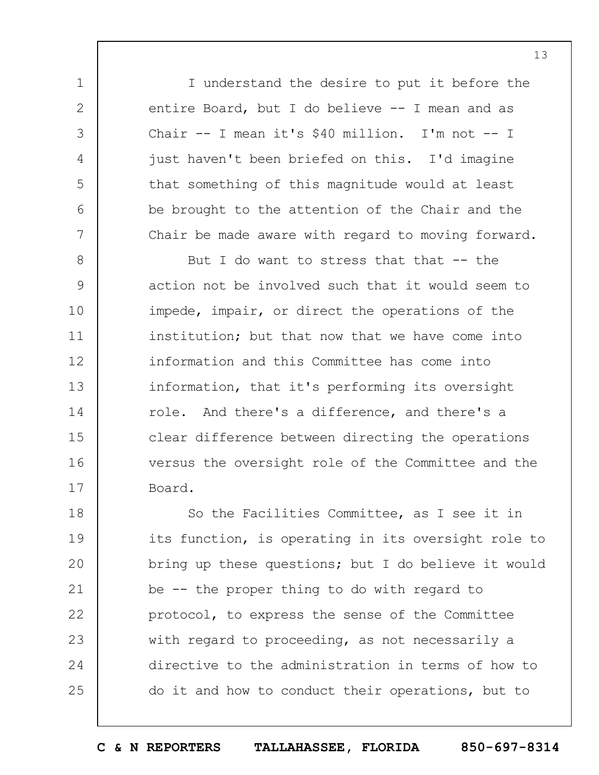I understand the desire to put it before the entire Board, but I do believe -- I mean and as Chair -- I mean it's \$40 million. I'm not -- I just haven't been briefed on this. I'd imagine that something of this magnitude would at least be brought to the attention of the Chair and the Chair be made aware with regard to moving forward.

1

2

3

4

5

6

7

8 9 10 11 12 13 14 15 16 17 But I do want to stress that that  $-$ - the action not be involved such that it would seem to impede, impair, or direct the operations of the institution; but that now that we have come into information and this Committee has come into information, that it's performing its oversight role. And there's a difference, and there's a clear difference between directing the operations versus the oversight role of the Committee and the Board.

18 19  $20$ 21 22 23 24 25 So the Facilities Committee, as I see it in its function, is operating in its oversight role to bring up these questions; but I do believe it would be -- the proper thing to do with regard to protocol, to express the sense of the Committee with regard to proceeding, as not necessarily a directive to the administration in terms of how to do it and how to conduct their operations, but to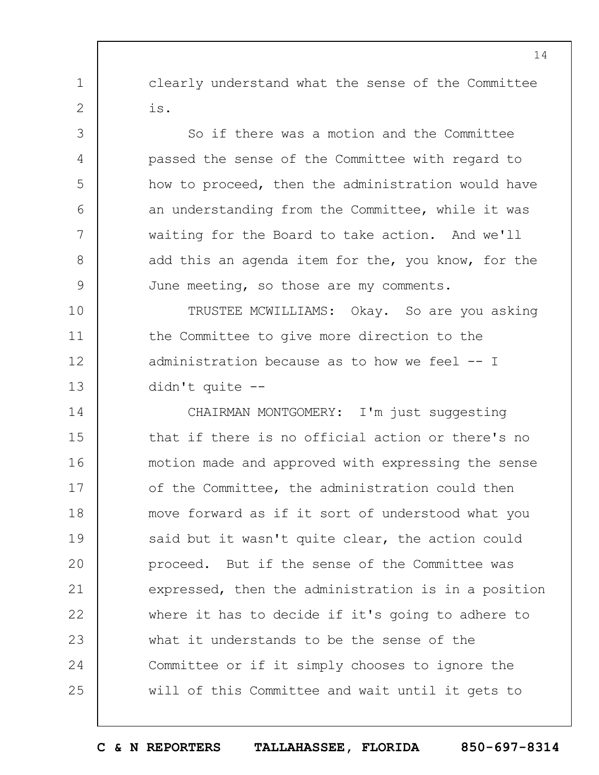clearly understand what the sense of the Committee is.

1

2

3

4

5

6

7

8

9

So if there was a motion and the Committee passed the sense of the Committee with regard to how to proceed, then the administration would have an understanding from the Committee, while it was waiting for the Board to take action. And we'll add this an agenda item for the, you know, for the June meeting, so those are my comments.

10 11 12 13 TRUSTEE MCWILLIAMS: Okay. So are you asking the Committee to give more direction to the administration because as to how we feel -- I didn't quite --

14 15 16 17 18 19  $20$ 21 22 23 24 25 CHAIRMAN MONTGOMERY: I'm just suggesting that if there is no official action or there's no motion made and approved with expressing the sense of the Committee, the administration could then move forward as if it sort of understood what you said but it wasn't quite clear, the action could proceed. But if the sense of the Committee was expressed, then the administration is in a position where it has to decide if it's going to adhere to what it understands to be the sense of the Committee or if it simply chooses to ignore the will of this Committee and wait until it gets to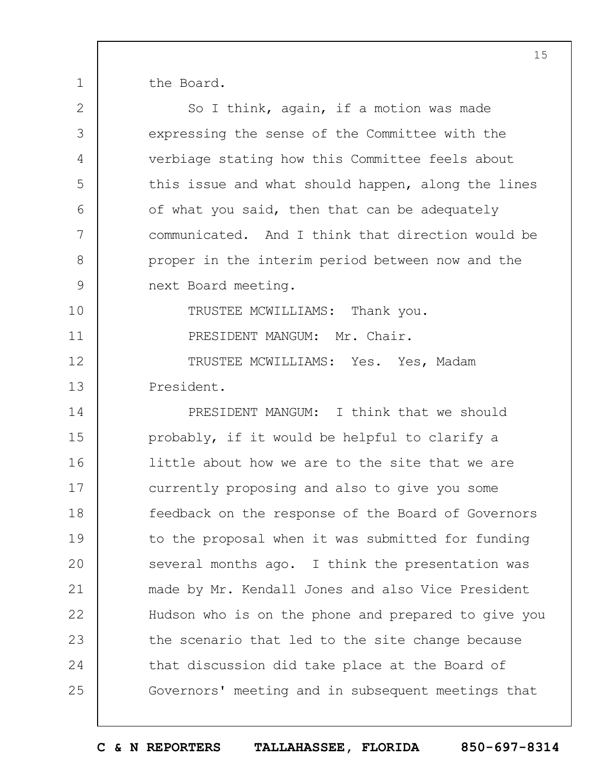the Board.

| $\overline{2}$ | So I think, again, if a motion was made             |
|----------------|-----------------------------------------------------|
| 3              | expressing the sense of the Committee with the      |
| 4              | verbiage stating how this Committee feels about     |
| 5              | this issue and what should happen, along the lines  |
| 6              | of what you said, then that can be adequately       |
| 7              | communicated. And I think that direction would be   |
| 8              | proper in the interim period between now and the    |
| $\mathcal{G}$  | next Board meeting.                                 |
| 10             | TRUSTEE MCWILLIAMS: Thank you.                      |
| 11             | PRESIDENT MANGUM: Mr. Chair.                        |
| 12             | TRUSTEE MCWILLIAMS: Yes. Yes, Madam                 |
| 13             | President.                                          |
| 14             | PRESIDENT MANGUM: I think that we should            |
| 15             | probably, if it would be helpful to clarify a       |
| 16             | little about how we are to the site that we are     |
| 17             | currently proposing and also to give you some       |
| 18             | feedback on the response of the Board of Governors  |
| 19             | to the proposal when it was submitted for funding   |
| 20             | several months ago. I think the presentation was    |
| 21             | made by Mr. Kendall Jones and also Vice President   |
| 22             | Hudson who is on the phone and prepared to give you |
| 23             | the scenario that led to the site change because    |
| 24             | that discussion did take place at the Board of      |
| 25             | Governors' meeting and in subsequent meetings that  |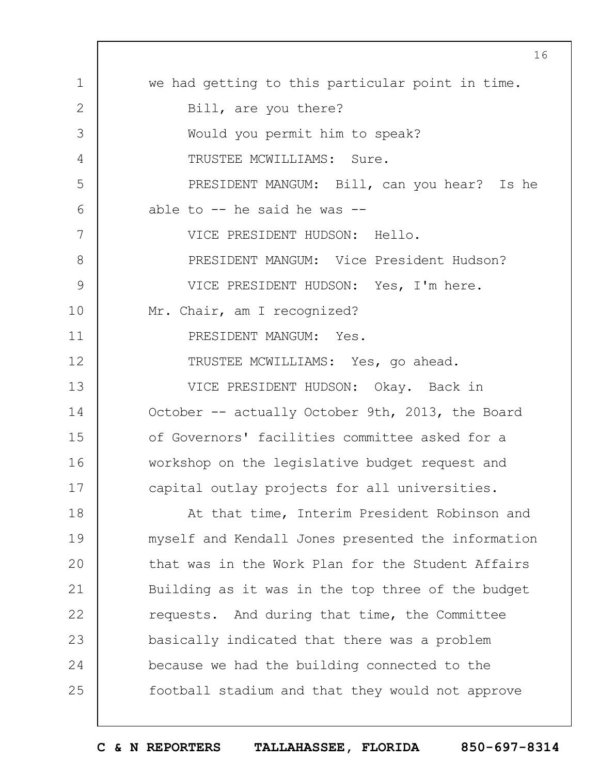|             | 16                                                 |
|-------------|----------------------------------------------------|
| $\mathbf 1$ | we had getting to this particular point in time.   |
| 2           | Bill, are you there?                               |
| 3           | Would you permit him to speak?                     |
| 4           | TRUSTEE MCWILLIAMS: Sure.                          |
| 5           | PRESIDENT MANGUM: Bill, can you hear? Is he        |
| 6           | able to -- he said he was --                       |
| 7           | VICE PRESIDENT HUDSON: Hello.                      |
| 8           | PRESIDENT MANGUM: Vice President Hudson?           |
| 9           | VICE PRESIDENT HUDSON: Yes, I'm here.              |
| 10          | Mr. Chair, am I recognized?                        |
| 11          | PRESIDENT MANGUM: Yes.                             |
| 12          | TRUSTEE MCWILLIAMS: Yes, go ahead.                 |
| 13          | VICE PRESIDENT HUDSON: Okay. Back in               |
| 14          | October -- actually October 9th, 2013, the Board   |
| 15          | of Governors' facilities committee asked for a     |
| 16          | workshop on the legislative budget request and     |
| 17          | capital outlay projects for all universities.      |
| 18          | At that time, Interim President Robinson and       |
| 19          | myself and Kendall Jones presented the information |
| 20          | that was in the Work Plan for the Student Affairs  |
| 21          | Building as it was in the top three of the budget  |
| 22          | requests. And during that time, the Committee      |
| 23          | basically indicated that there was a problem       |
| 24          | because we had the building connected to the       |
| 25          | football stadium and that they would not approve   |
|             |                                                    |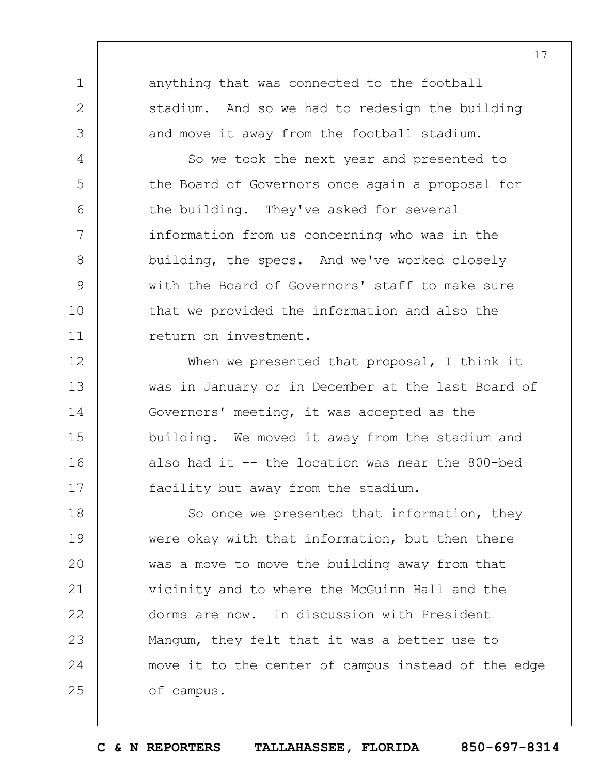anything that was connected to the football stadium. And so we had to redesign the building and move it away from the football stadium.

1

2

3

4

5

6

7

8

9

10

11

So we took the next year and presented to the Board of Governors once again a proposal for the building. They've asked for several information from us concerning who was in the building, the specs. And we've worked closely with the Board of Governors' staff to make sure that we provided the information and also the return on investment.

12 13 14 15 16 17 When we presented that proposal, I think it was in January or in December at the last Board of Governors' meeting, it was accepted as the building. We moved it away from the stadium and also had it -- the location was near the 800-bed facility but away from the stadium.

18 19  $20$ 21 22 23 24 25 So once we presented that information, they were okay with that information, but then there was a move to move the building away from that vicinity and to where the McGuinn Hall and the dorms are now. In discussion with President Mangum, they felt that it was a better use to move it to the center of campus instead of the edge of campus.

17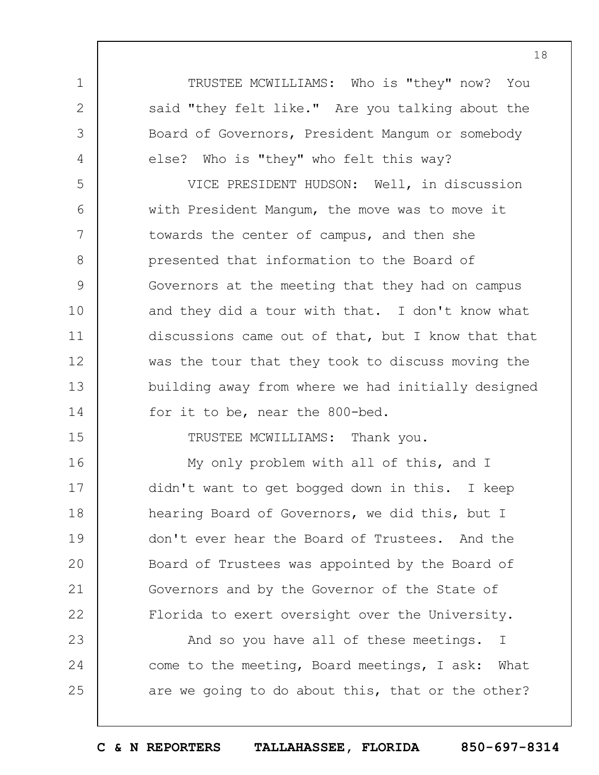TRUSTEE MCWILLIAMS: Who is "they" now? You said "they felt like." Are you talking about the Board of Governors, President Mangum or somebody else? Who is "they" who felt this way?

5 6 7 8 9 10 11 12 13 14 VICE PRESIDENT HUDSON: Well, in discussion with President Mangum, the move was to move it towards the center of campus, and then she presented that information to the Board of Governors at the meeting that they had on campus and they did a tour with that. I don't know what discussions came out of that, but I know that that was the tour that they took to discuss moving the building away from where we had initially designed for it to be, near the 800-bed.

15

1

2

3

4

TRUSTEE MCWILLIAMS: Thank you.

16 17 18 19  $20$ 21 22 My only problem with all of this, and I didn't want to get bogged down in this. I keep hearing Board of Governors, we did this, but I don't ever hear the Board of Trustees. And the Board of Trustees was appointed by the Board of Governors and by the Governor of the State of Florida to exert oversight over the University.

23 24 25 And so you have all of these meetings. I come to the meeting, Board meetings, I ask: What are we going to do about this, that or the other?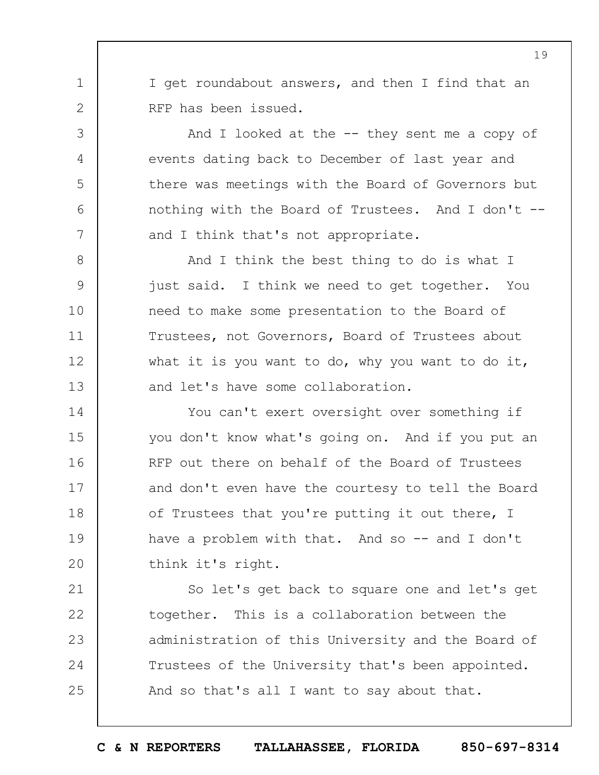I get roundabout answers, and then I find that an RFP has been issued.

1

2

3

4

5

6

7

And I looked at the  $-$  they sent me a copy of events dating back to December of last year and there was meetings with the Board of Governors but nothing with the Board of Trustees. And I don't - and I think that's not appropriate.

8 9 10 11 12 13 And I think the best thing to do is what I just said. I think we need to get together. You need to make some presentation to the Board of Trustees, not Governors, Board of Trustees about what it is you want to do, why you want to do it, and let's have some collaboration.

14 15 16 17 18 19  $20$ You can't exert oversight over something if you don't know what's going on. And if you put an RFP out there on behalf of the Board of Trustees and don't even have the courtesy to tell the Board of Trustees that you're putting it out there, I have a problem with that. And so -- and I don't think it's right.

21 22 23 24 25 So let's get back to square one and let's get together. This is a collaboration between the administration of this University and the Board of Trustees of the University that's been appointed. And so that's all I want to say about that.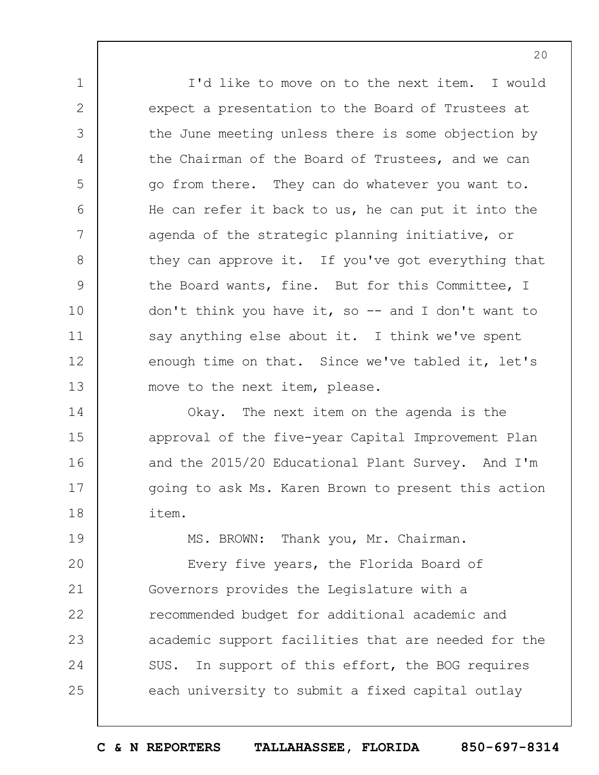I'd like to move on to the next item. I would expect a presentation to the Board of Trustees at the June meeting unless there is some objection by the Chairman of the Board of Trustees, and we can go from there. They can do whatever you want to. He can refer it back to us, he can put it into the agenda of the strategic planning initiative, or they can approve it. If you've got everything that the Board wants, fine. But for this Committee, I don't think you have it, so  $-$  and I don't want to say anything else about it. I think we've spent enough time on that. Since we've tabled it, let's move to the next item, please.

1

2

3

4

5

6

7

8

9

10

11

12

13

19

14 15 16 17 18 Okay. The next item on the agenda is the approval of the five-year Capital Improvement Plan and the 2015/20 Educational Plant Survey. And I'm going to ask Ms. Karen Brown to present this action item.

MS. BROWN: Thank you, Mr. Chairman.

 $20$ 21 22 23 24 25 Every five years, the Florida Board of Governors provides the Legislature with a recommended budget for additional academic and academic support facilities that are needed for the SUS. In support of this effort, the BOG requires each university to submit a fixed capital outlay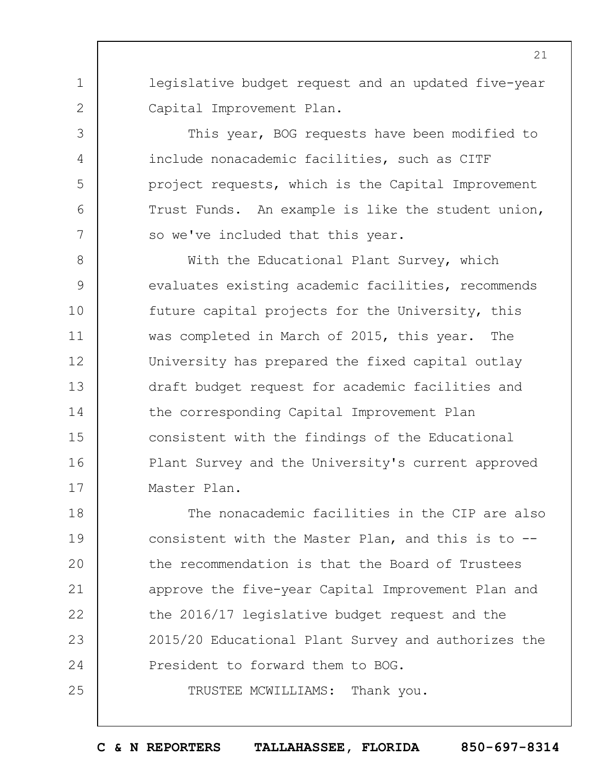legislative budget request and an updated five-year Capital Improvement Plan.

1

2

3

4

5

6

7

25

This year, BOG requests have been modified to include nonacademic facilities, such as CITF project requests, which is the Capital Improvement Trust Funds. An example is like the student union, so we've included that this year.

8 9 10 11 12 13 14 15 16 17 With the Educational Plant Survey, which evaluates existing academic facilities, recommends future capital projects for the University, this was completed in March of 2015, this year. The University has prepared the fixed capital outlay draft budget request for academic facilities and the corresponding Capital Improvement Plan consistent with the findings of the Educational Plant Survey and the University's current approved Master Plan.

18 19  $20$ 21 22 23 24 The nonacademic facilities in the CIP are also consistent with the Master Plan, and this is to - the recommendation is that the Board of Trustees approve the five-year Capital Improvement Plan and the 2016/17 legislative budget request and the 2015/20 Educational Plant Survey and authorizes the President to forward them to BOG.

TRUSTEE MCWILLIAMS: Thank you.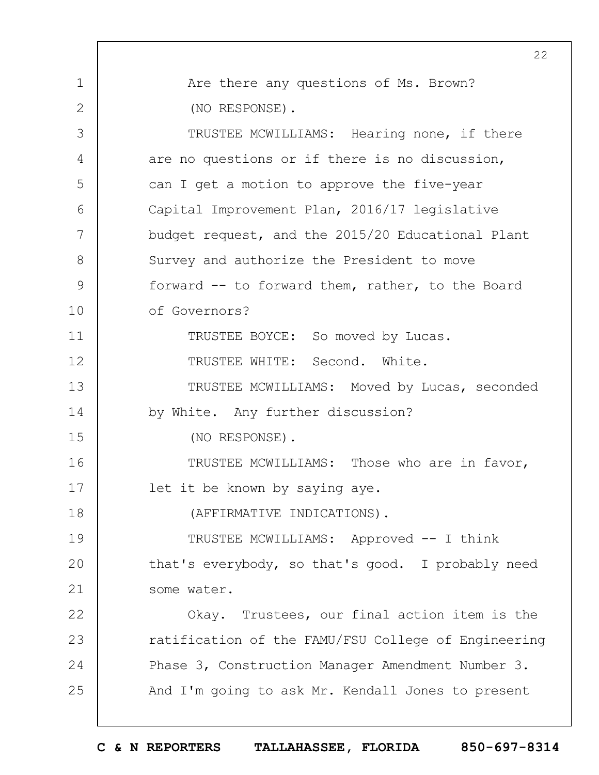1 2 3 4 5 6 7 8 9 10 11 12 13 14 15 16 17 18 19  $20$ 21 22 23 24 25 22 Are there any questions of Ms. Brown? (NO RESPONSE). TRUSTEE MCWILLIAMS: Hearing none, if there are no questions or if there is no discussion, can I get a motion to approve the five-year Capital Improvement Plan, 2016/17 legislative budget request, and the 2015/20 Educational Plant Survey and authorize the President to move forward -- to forward them, rather, to the Board of Governors? TRUSTEE BOYCE: So moved by Lucas. TRUSTEE WHITE: Second. White. TRUSTEE MCWILLIAMS: Moved by Lucas, seconded by White. Any further discussion? (NO RESPONSE). TRUSTEE MCWILLIAMS: Those who are in favor, let it be known by saying aye. (AFFIRMATIVE INDICATIONS). TRUSTEE MCWILLIAMS: Approved -- I think that's everybody, so that's good. I probably need some water. Okay. Trustees, our final action item is the ratification of the FAMU/FSU College of Engineering Phase 3, Construction Manager Amendment Number 3. And I'm going to ask Mr. Kendall Jones to present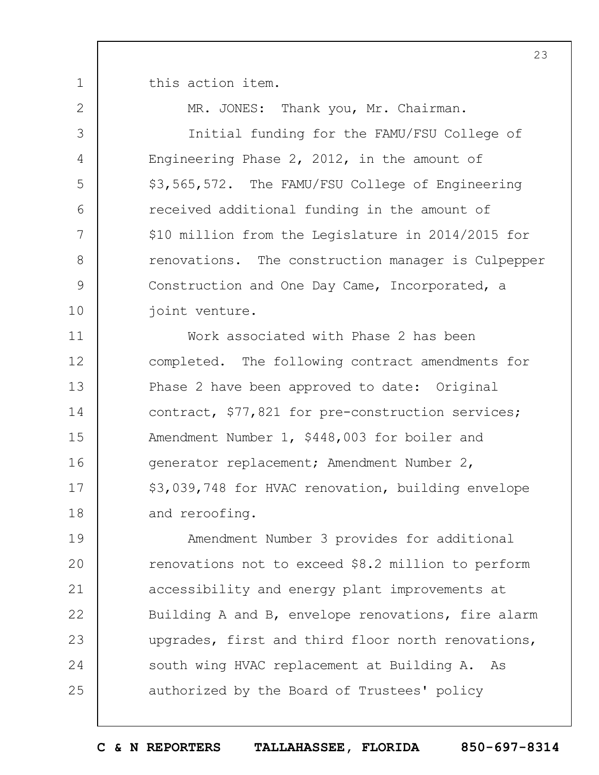this action item.

1

2

3

4

5

6

7

8

9

10

MR. JONES: Thank you, Mr. Chairman.

Initial funding for the FAMU/FSU College of Engineering Phase 2, 2012, in the amount of \$3,565,572. The FAMU/FSU College of Engineering received additional funding in the amount of \$10 million from the Legislature in 2014/2015 for renovations. The construction manager is Culpepper Construction and One Day Came, Incorporated, a joint venture.

11 12 13 14 15 16 17 18 Work associated with Phase 2 has been completed. The following contract amendments for Phase 2 have been approved to date: Original contract, \$77,821 for pre-construction services; Amendment Number 1, \$448,003 for boiler and generator replacement; Amendment Number 2, \$3,039,748 for HVAC renovation, building envelope and reroofing.

19  $20$ 21 22 23 24 25 Amendment Number 3 provides for additional renovations not to exceed \$8.2 million to perform accessibility and energy plant improvements at Building A and B, envelope renovations, fire alarm upgrades, first and third floor north renovations, south wing HVAC replacement at Building A. As authorized by the Board of Trustees' policy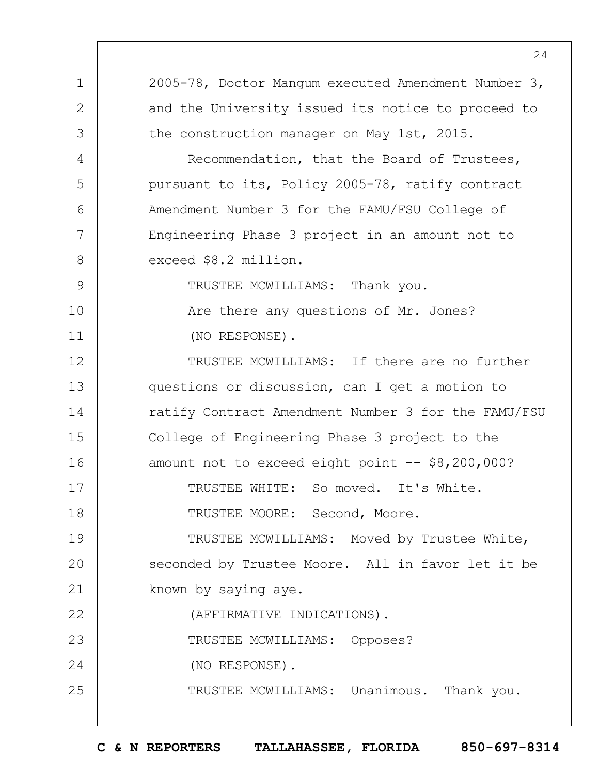|                | 24                                                  |
|----------------|-----------------------------------------------------|
| $\mathbf 1$    | 2005-78, Doctor Mangum executed Amendment Number 3, |
| $\mathbf{2}$   | and the University issued its notice to proceed to  |
| 3              | the construction manager on May 1st, 2015.          |
| $\overline{4}$ | Recommendation, that the Board of Trustees,         |
| 5              | pursuant to its, Policy 2005-78, ratify contract    |
| 6              | Amendment Number 3 for the FAMU/FSU College of      |
| 7              | Engineering Phase 3 project in an amount not to     |
| 8              | exceed \$8.2 million.                               |
| 9              | TRUSTEE MCWILLIAMS: Thank you.                      |
| 10             | Are there any questions of Mr. Jones?               |
| 11             | (NO RESPONSE).                                      |
| 12             | TRUSTEE MCWILLIAMS: If there are no further         |
| 13             | questions or discussion, can I get a motion to      |
| 14             | ratify Contract Amendment Number 3 for the FAMU/FSU |
| 15             | College of Engineering Phase 3 project to the       |
| 16             | amount not to exceed eight point -- \$8,200,000?    |
| 17             | TRUSTEE WHITE: So moved. It's White.                |
| 18             | TRUSTEE MOORE: Second, Moore.                       |
| 19             | TRUSTEE MCWILLIAMS: Moved by Trustee White,         |
| 20             | seconded by Trustee Moore. All in favor let it be   |
| 21             | known by saying aye.                                |
| 22             | (AFFIRMATIVE INDICATIONS).                          |
| 23             | TRUSTEE MCWILLIAMS: Opposes?                        |
| 24             | (NO RESPONSE).                                      |
| 25             | TRUSTEE MCWILLIAMS: Unanimous. Thank you.           |
|                |                                                     |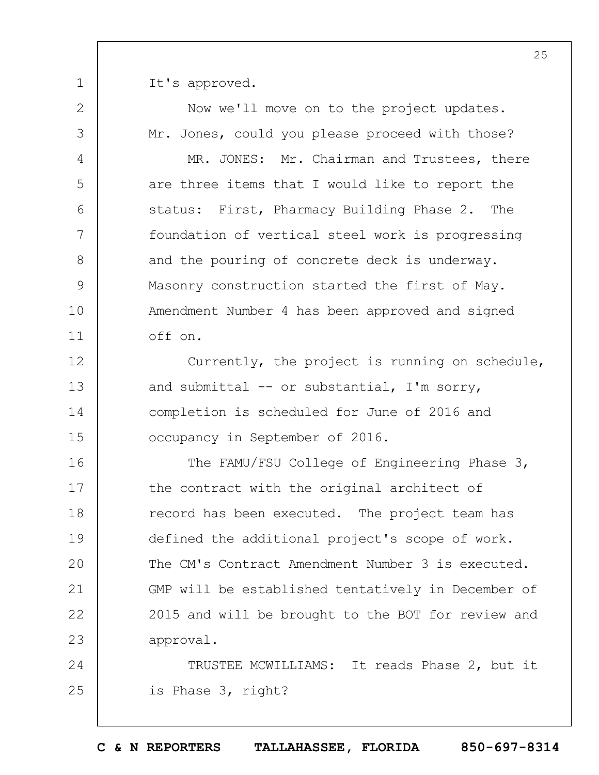1

2

3

4

5

6

7

8

9

10

11

12

13

14

15

It's approved.

Now we'll move on to the project updates. Mr. Jones, could you please proceed with those?

MR. JONES: Mr. Chairman and Trustees, there are three items that I would like to report the status: First, Pharmacy Building Phase 2. The foundation of vertical steel work is progressing and the pouring of concrete deck is underway. Masonry construction started the first of May. Amendment Number 4 has been approved and signed off on.

Currently, the project is running on schedule, and submittal -- or substantial, I'm sorry, completion is scheduled for June of 2016 and occupancy in September of 2016.

16 17 18 19  $20$ 21 22 23 The FAMU/FSU College of Engineering Phase 3, the contract with the original architect of record has been executed. The project team has defined the additional project's scope of work. The CM's Contract Amendment Number 3 is executed. GMP will be established tentatively in December of 2015 and will be brought to the BOT for review and approval.

24 25 TRUSTEE MCWILLIAMS: It reads Phase 2, but it is Phase 3, right?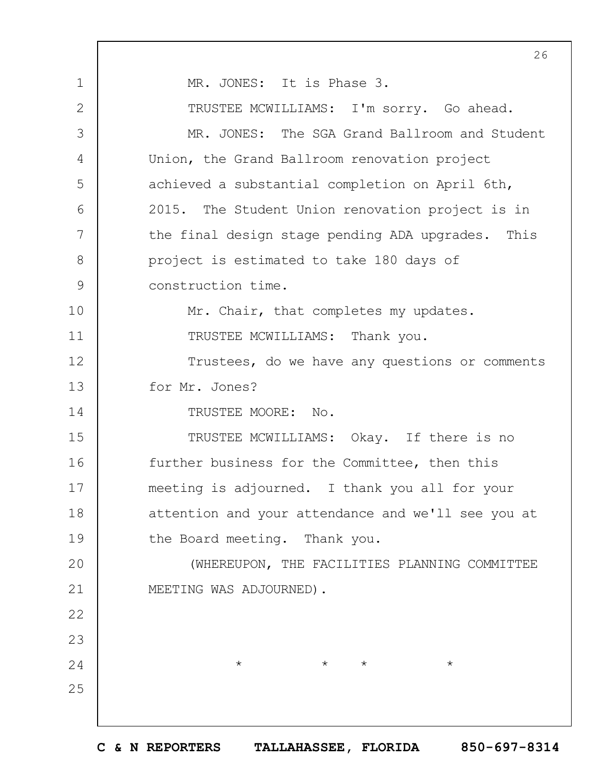1 2 3 4 5 6 7 8 9 10 11 12 13 14 15 16 17 18 19  $20$ 21 22 23 24 25 26 MR. JONES: It is Phase 3. TRUSTEE MCWILLIAMS: I'm sorry. Go ahead. MR. JONES: The SGA Grand Ballroom and Student Union, the Grand Ballroom renovation project achieved a substantial completion on April 6th, 2015. The Student Union renovation project is in the final design stage pending ADA upgrades. This project is estimated to take 180 days of construction time. Mr. Chair, that completes my updates. TRUSTEE MCWILLIAMS: Thank you. Trustees, do we have any questions or comments for Mr. Jones? TRUSTEE MOORE: No. TRUSTEE MCWILLIAMS: Okay. If there is no further business for the Committee, then this meeting is adjourned. I thank you all for your attention and your attendance and we'll see you at the Board meeting. Thank you. (WHEREUPON, THE FACILITIES PLANNING COMMITTEE MEETING WAS ADJOURNED).  $\star$   $\star$   $\star$   $\star$